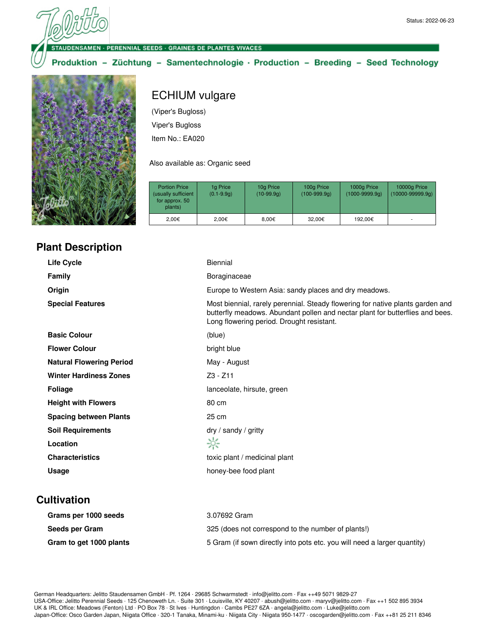**VSAMEN · PERENNIAL SEEDS · GRAINES DE PLANTES VIVACES** 

Produktion - Züchtung - Samentechnologie · Production - Breeding - Seed Technology



## ECHIUM vulgare

(Viper's Bugloss) Viper's Bugloss Item No.: EA020

Also available as: Organic seed

| <b>Portion Price</b><br>(usually sufficient<br>for approx. 50<br>plants) | 1g Price<br>$(0.1 - 9.9q)$ | 10g Price<br>$(10-99.9q)$ | 100g Price<br>$(100-999.9q)$ | 1000g Price<br>$(1000 - 9999.9q)$ | 10000g Price<br>$(10000 - 99999.9q)$ |
|--------------------------------------------------------------------------|----------------------------|---------------------------|------------------------------|-----------------------------------|--------------------------------------|
| 2.00€                                                                    | 2.00€                      | 8.00€                     | 32.00€                       | 192.00€                           |                                      |

## **Plant Description**

| <b>Life Cycle</b>               | <b>Biennial</b>                                                                                                                                                                                              |
|---------------------------------|--------------------------------------------------------------------------------------------------------------------------------------------------------------------------------------------------------------|
| <b>Family</b>                   | Boraginaceae                                                                                                                                                                                                 |
| Origin                          | Europe to Western Asia: sandy places and dry meadows.                                                                                                                                                        |
| <b>Special Features</b>         | Most biennial, rarely perennial. Steady flowering for native plants garden and<br>butterfly meadows. Abundant pollen and nectar plant for butterflies and bees.<br>Long flowering period. Drought resistant. |
| <b>Basic Colour</b>             | (blue)                                                                                                                                                                                                       |
| <b>Flower Colour</b>            | bright blue                                                                                                                                                                                                  |
| <b>Natural Flowering Period</b> | May - August                                                                                                                                                                                                 |
| <b>Winter Hardiness Zones</b>   | $Z3 - Z11$                                                                                                                                                                                                   |
| <b>Foliage</b>                  | lanceolate, hirsute, green                                                                                                                                                                                   |
| <b>Height with Flowers</b>      | 80 cm                                                                                                                                                                                                        |
| <b>Spacing between Plants</b>   | 25 cm                                                                                                                                                                                                        |
| <b>Soil Requirements</b>        | $\frac{dy}{dx}$ sandy / gritty                                                                                                                                                                               |
| Location                        | ☆                                                                                                                                                                                                            |
| <b>Characteristics</b>          | toxic plant / medicinal plant                                                                                                                                                                                |
| Usage                           | honey-bee food plant                                                                                                                                                                                         |
|                                 |                                                                                                                                                                                                              |

## **Cultivation**

| Grams per 1000 seeds    | 3.07692 Gram                                                             |
|-------------------------|--------------------------------------------------------------------------|
| Seeds per Gram          | 325 (does not correspond to the number of plants!)                       |
| Gram to get 1000 plants | 5 Gram (if sown directly into pots etc. you will need a larger quantity) |